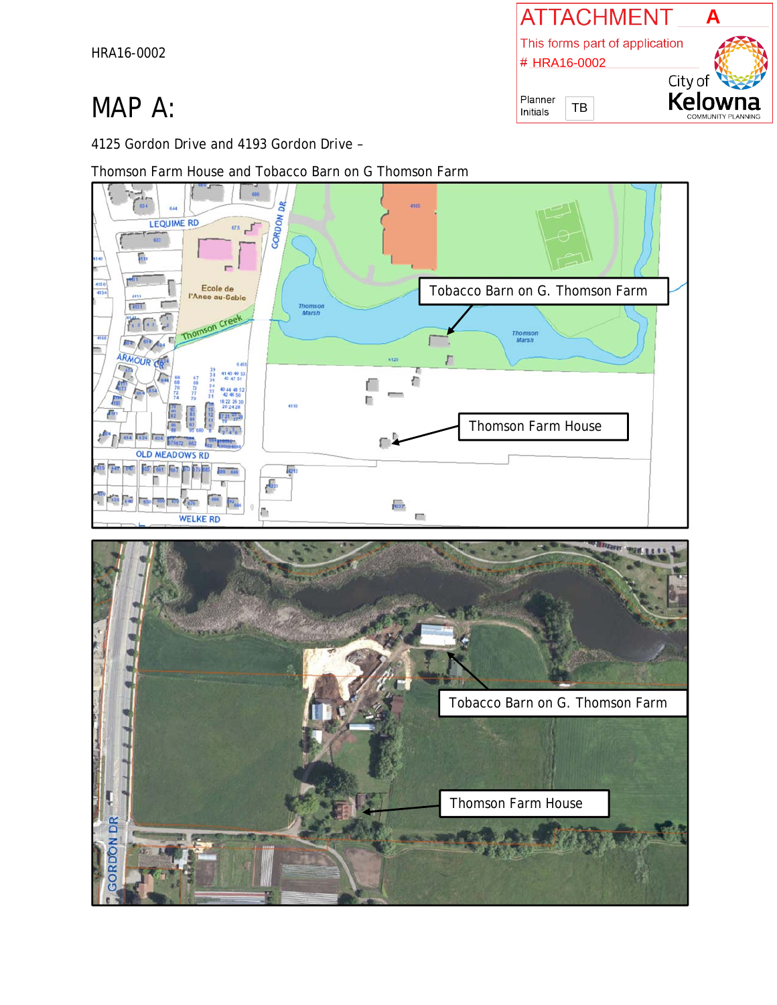HRA16-0002

# MAP A:

4125 Gordon Drive and 4193 Gordon Drive –

Thomson Farm House and Tobacco Barn on G Thomson Farm





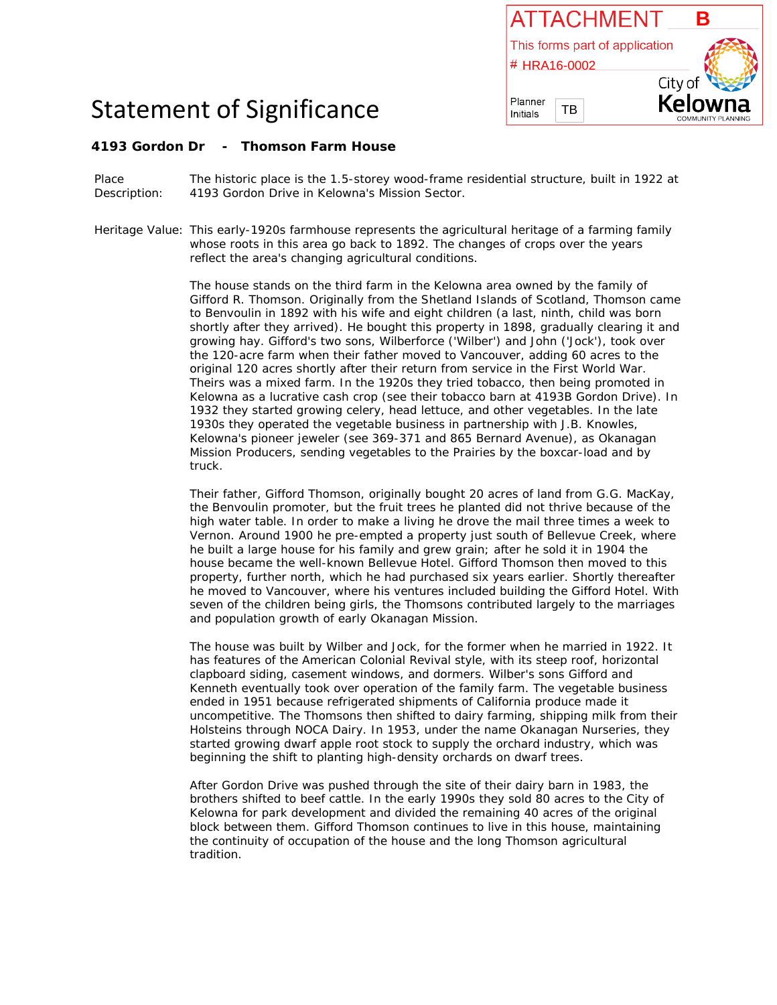

## Statement of Significance

### **4193 Gordon Dr - Thomson Farm House**

Place Description: The historic place is the 1.5-storey wood-frame residential structure, built in 1922 at 4193 Gordon Drive in Kelowna's Mission Sector.

Heritage Value: This early-1920s farmhouse represents the agricultural heritage of a farming family whose roots in this area go back to 1892. The changes of crops over the years reflect the area's changing agricultural conditions.

> The house stands on the third farm in the Kelowna area owned by the family of Gifford R. Thomson. Originally from the Shetland Islands of Scotland, Thomson came to Benvoulin in 1892 with his wife and eight children (a last, ninth, child was born shortly after they arrived). He bought this property in 1898, gradually clearing it and growing hay. Gifford's two sons, Wilberforce ('Wilber') and John ('Jock'), took over the 120-acre farm when their father moved to Vancouver, adding 60 acres to the original 120 acres shortly after their return from service in the First World War. Theirs was a mixed farm. In the 1920s they tried tobacco, then being promoted in Kelowna as a lucrative cash crop (see their tobacco barn at 4193B Gordon Drive). In 1932 they started growing celery, head lettuce, and other vegetables. In the late 1930s they operated the vegetable business in partnership with J.B. Knowles, Kelowna's pioneer jeweler (see 369-371 and 865 Bernard Avenue), as Okanagan Mission Producers, sending vegetables to the Prairies by the boxcar-load and by truck.

> Their father, Gifford Thomson, originally bought 20 acres of land from G.G. MacKay, the Benvoulin promoter, but the fruit trees he planted did not thrive because of the high water table. In order to make a living he drove the mail three times a week to Vernon. Around 1900 he pre-empted a property just south of Bellevue Creek, where he built a large house for his family and grew grain; after he sold it in 1904 the house became the well-known Bellevue Hotel. Gifford Thomson then moved to this property, further north, which he had purchased six years earlier. Shortly thereafter he moved to Vancouver, where his ventures included building the Gifford Hotel. With seven of the children being girls, the Thomsons contributed largely to the marriages and population growth of early Okanagan Mission.

> The house was built by Wilber and Jock, for the former when he married in 1922. It has features of the American Colonial Revival style, with its steep roof, horizontal clapboard siding, casement windows, and dormers. Wilber's sons Gifford and Kenneth eventually took over operation of the family farm. The vegetable business ended in 1951 because refrigerated shipments of California produce made it uncompetitive. The Thomsons then shifted to dairy farming, shipping milk from their Holsteins through NOCA Dairy. In 1953, under the name Okanagan Nurseries, they started growing dwarf apple root stock to supply the orchard industry, which was beginning the shift to planting high-density orchards on dwarf trees.

After Gordon Drive was pushed through the site of their dairy barn in 1983, the brothers shifted to beef cattle. In the early 1990s they sold 80 acres to the City of Kelowna for park development and divided the remaining 40 acres of the original block between them. Gifford Thomson continues to live in this house, maintaining the continuity of occupation of the house and the long Thomson agricultural tradition.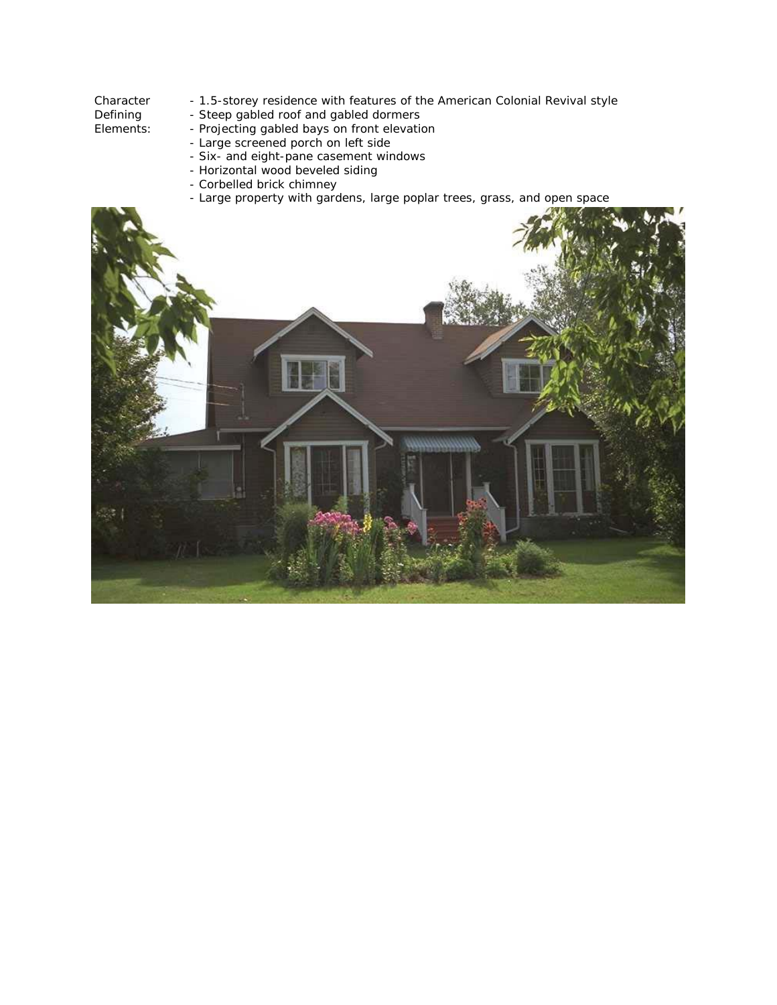### Character Defining

- 1.5-storey residence with features of the American Colonial Revival style
- Steep gabled roof and gabled dormers

Elements:

- Projecting gabled bays on front elevation
- Large screened porch on left side
- Six- and eight-pane casement windows - Horizontal wood beveled siding
- 
- Corbelled brick chimney
- Large property with gardens, large poplar trees, grass, and open space